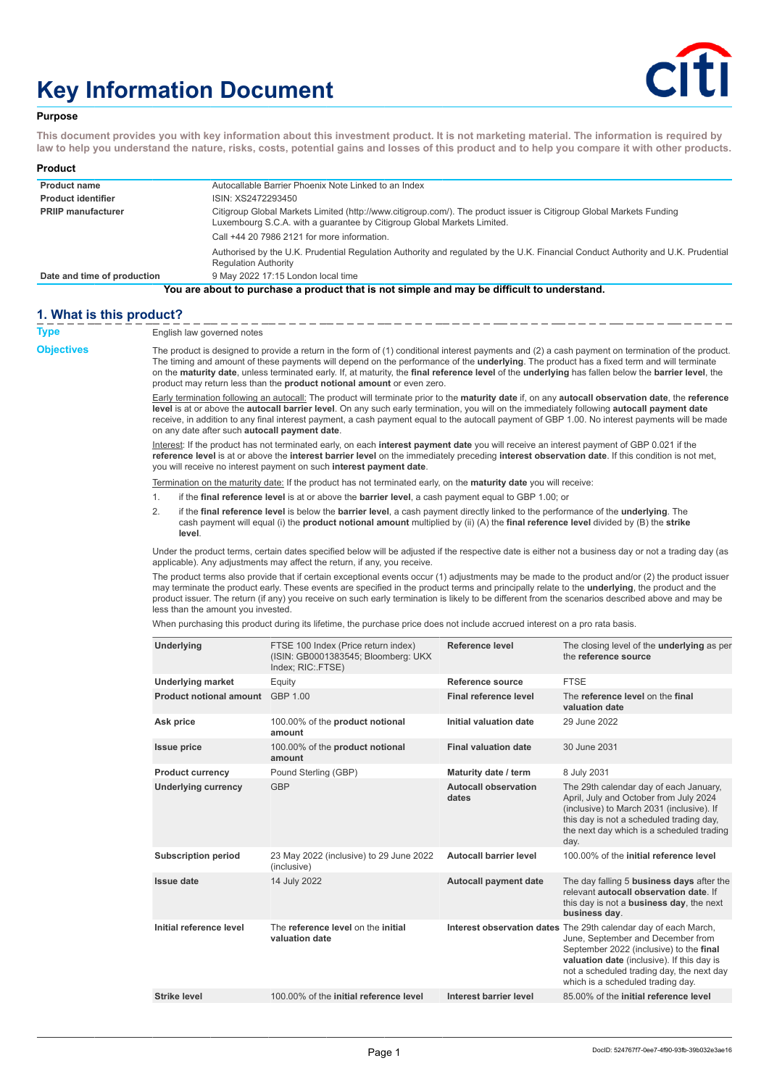# **Key Information Document**



## **Purpose**

**This document provides you with key information about this investment product. It is not marketing material. The information is required by law to help you understand the nature, risks, costs, potential gains and losses of this product and to help you compare it with other products.**

| Product                                                                                    |                                                                                                                                                                                                 |  |  |
|--------------------------------------------------------------------------------------------|-------------------------------------------------------------------------------------------------------------------------------------------------------------------------------------------------|--|--|
| <b>Product name</b>                                                                        | Autocallable Barrier Phoenix Note Linked to an Index                                                                                                                                            |  |  |
| <b>Product identifier</b>                                                                  | ISIN: XS2472293450                                                                                                                                                                              |  |  |
| <b>PRIIP manufacturer</b>                                                                  | Citigroup Global Markets Limited (http://www.citigroup.com/). The product issuer is Citigroup Global Markets Funding<br>Luxembourg S.C.A. with a quarantee by Citigroup Global Markets Limited. |  |  |
|                                                                                            | Call +44 20 7986 2121 for more information.                                                                                                                                                     |  |  |
|                                                                                            | Authorised by the U.K. Prudential Regulation Authority and regulated by the U.K. Financial Conduct Authority and U.K. Prudential<br><b>Regulation Authority</b>                                 |  |  |
| Date and time of production                                                                | 9 May 2022 17:15 London local time                                                                                                                                                              |  |  |
| You are about to purchase a product that is not simple and may be difficult to understand. |                                                                                                                                                                                                 |  |  |

## **1. What is this product?**

| Type              | English law governed notes                                                                                                                                                                                                                                                                                                                                                                                                                                                                                                                      |                                                                                                                                                                                                                                                                                                                                                                     |                                      |                                                                                                                                                                                                                                                                                 |  |
|-------------------|-------------------------------------------------------------------------------------------------------------------------------------------------------------------------------------------------------------------------------------------------------------------------------------------------------------------------------------------------------------------------------------------------------------------------------------------------------------------------------------------------------------------------------------------------|---------------------------------------------------------------------------------------------------------------------------------------------------------------------------------------------------------------------------------------------------------------------------------------------------------------------------------------------------------------------|--------------------------------------|---------------------------------------------------------------------------------------------------------------------------------------------------------------------------------------------------------------------------------------------------------------------------------|--|
| <b>Objectives</b> | The product is designed to provide a return in the form of (1) conditional interest payments and (2) a cash payment on termination of the product.<br>The timing and amount of these payments will depend on the performance of the <b>underlying</b> . The product has a fixed term and will terminate<br>on the maturity date, unless terminated early. If, at maturity, the final reference level of the underlying has fallen below the barrier level, the<br>product may return less than the <b>product notional amount</b> or even zero. |                                                                                                                                                                                                                                                                                                                                                                     |                                      |                                                                                                                                                                                                                                                                                 |  |
|                   | Early termination following an autocall: The product will terminate prior to the maturity date if, on any autocall observation date, the reference<br>level is at or above the autocall barrier level. On any such early termination, you will on the immediately following autocall payment date<br>receive, in addition to any final interest payment, a cash payment equal to the autocall payment of GBP 1.00. No interest payments will be made<br>on any date after such autocall payment date.                                           |                                                                                                                                                                                                                                                                                                                                                                     |                                      |                                                                                                                                                                                                                                                                                 |  |
|                   |                                                                                                                                                                                                                                                                                                                                                                                                                                                                                                                                                 | Interest: If the product has not terminated early, on each interest payment date you will receive an interest payment of GBP 0.021 if the<br>reference level is at or above the interest barrier level on the immediately preceding interest observation date. If this condition is not met,<br>you will receive no interest payment on such interest payment date. |                                      |                                                                                                                                                                                                                                                                                 |  |
|                   |                                                                                                                                                                                                                                                                                                                                                                                                                                                                                                                                                 | Termination on the maturity date: If the product has not terminated early, on the <b>maturity date</b> you will receive:                                                                                                                                                                                                                                            |                                      |                                                                                                                                                                                                                                                                                 |  |
|                   | 1.                                                                                                                                                                                                                                                                                                                                                                                                                                                                                                                                              | if the final reference level is at or above the barrier level, a cash payment equal to GBP 1.00; or                                                                                                                                                                                                                                                                 |                                      |                                                                                                                                                                                                                                                                                 |  |
|                   | 2.<br>level.                                                                                                                                                                                                                                                                                                                                                                                                                                                                                                                                    | if the final reference level is below the barrier level, a cash payment directly linked to the performance of the underlying. The<br>cash payment will equal (i) the <b>product notional amount</b> multiplied by (ii) (A) the <b>final reference level</b> divided by (B) the <b>strike</b>                                                                        |                                      |                                                                                                                                                                                                                                                                                 |  |
|                   |                                                                                                                                                                                                                                                                                                                                                                                                                                                                                                                                                 | Under the product terms, certain dates specified below will be adjusted if the respective date is either not a business day or not a trading day (as<br>applicable). Any adjustments may affect the return, if any, you receive.                                                                                                                                    |                                      |                                                                                                                                                                                                                                                                                 |  |
|                   | The product terms also provide that if certain exceptional events occur (1) adjustments may be made to the product and/or (2) the product issuer<br>may terminate the product early. These events are specified in the product terms and principally relate to the underlying, the product and the<br>product issuer. The return (if any) you receive on such early termination is likely to be different from the scenarios described above and may be<br>less than the amount you invested.                                                   |                                                                                                                                                                                                                                                                                                                                                                     |                                      |                                                                                                                                                                                                                                                                                 |  |
|                   |                                                                                                                                                                                                                                                                                                                                                                                                                                                                                                                                                 | When purchasing this product during its lifetime, the purchase price does not include accrued interest on a pro rata basis.                                                                                                                                                                                                                                         |                                      |                                                                                                                                                                                                                                                                                 |  |
|                   | <b>Underlying</b>                                                                                                                                                                                                                                                                                                                                                                                                                                                                                                                               | FTSE 100 Index (Price return index)<br>(ISIN: GB0001383545; Bloomberg: UKX<br>Index; RIC: FTSE)                                                                                                                                                                                                                                                                     | Reference level                      | The closing level of the <b>underlying</b> as per<br>the reference source                                                                                                                                                                                                       |  |
|                   | <b>Underlying market</b>                                                                                                                                                                                                                                                                                                                                                                                                                                                                                                                        | Equity                                                                                                                                                                                                                                                                                                                                                              | Reference source                     | <b>FTSE</b>                                                                                                                                                                                                                                                                     |  |
|                   | <b>Product notional amount</b> GBP 1.00                                                                                                                                                                                                                                                                                                                                                                                                                                                                                                         |                                                                                                                                                                                                                                                                                                                                                                     | Final reference level                | The reference level on the final<br>valuation date                                                                                                                                                                                                                              |  |
|                   | Ask price                                                                                                                                                                                                                                                                                                                                                                                                                                                                                                                                       | 100.00% of the product notional<br>amount                                                                                                                                                                                                                                                                                                                           | Initial valuation date               | 29 June 2022                                                                                                                                                                                                                                                                    |  |
|                   | <b>Issue price</b>                                                                                                                                                                                                                                                                                                                                                                                                                                                                                                                              | 100.00% of the <b>product notional</b><br>amount                                                                                                                                                                                                                                                                                                                    | <b>Final valuation date</b>          | 30 June 2031                                                                                                                                                                                                                                                                    |  |
|                   | <b>Product currency</b>                                                                                                                                                                                                                                                                                                                                                                                                                                                                                                                         | Pound Sterling (GBP)                                                                                                                                                                                                                                                                                                                                                | Maturity date / term                 | 8 July 2031                                                                                                                                                                                                                                                                     |  |
|                   | Underlying currency                                                                                                                                                                                                                                                                                                                                                                                                                                                                                                                             | <b>GBP</b>                                                                                                                                                                                                                                                                                                                                                          | <b>Autocall observation</b><br>dates | The 29th calendar day of each January,<br>April, July and October from July 2024<br>(inclusive) to March 2031 (inclusive). If<br>this day is not a scheduled trading day,<br>the next day which is a scheduled trading<br>day.                                                  |  |
|                   | <b>Subscription period</b>                                                                                                                                                                                                                                                                                                                                                                                                                                                                                                                      | 23 May 2022 (inclusive) to 29 June 2022<br>(inclusive)                                                                                                                                                                                                                                                                                                              | <b>Autocall barrier level</b>        | 100.00% of the initial reference level                                                                                                                                                                                                                                          |  |
|                   | <b>Issue date</b>                                                                                                                                                                                                                                                                                                                                                                                                                                                                                                                               | 14 July 2022                                                                                                                                                                                                                                                                                                                                                        | <b>Autocall payment date</b>         | The day falling 5 <b>business days</b> after the<br>relevant autocall observation date. If<br>this day is not a <b>business day</b> , the next<br>business day.                                                                                                                 |  |
|                   | Initial reference level                                                                                                                                                                                                                                                                                                                                                                                                                                                                                                                         | The reference level on the initial<br>valuation date                                                                                                                                                                                                                                                                                                                |                                      | Interest observation dates The 29th calendar day of each March,<br>June, September and December from<br>September 2022 (inclusive) to the final<br>valuation date (inclusive). If this day is<br>not a scheduled trading day, the next day<br>which is a scheduled trading day. |  |
|                   | <b>Strike level</b>                                                                                                                                                                                                                                                                                                                                                                                                                                                                                                                             | 100,00% of the initial reference level                                                                                                                                                                                                                                                                                                                              | Interest barrier level               | 85,00% of the initial reference level                                                                                                                                                                                                                                           |  |
|                   |                                                                                                                                                                                                                                                                                                                                                                                                                                                                                                                                                 |                                                                                                                                                                                                                                                                                                                                                                     |                                      |                                                                                                                                                                                                                                                                                 |  |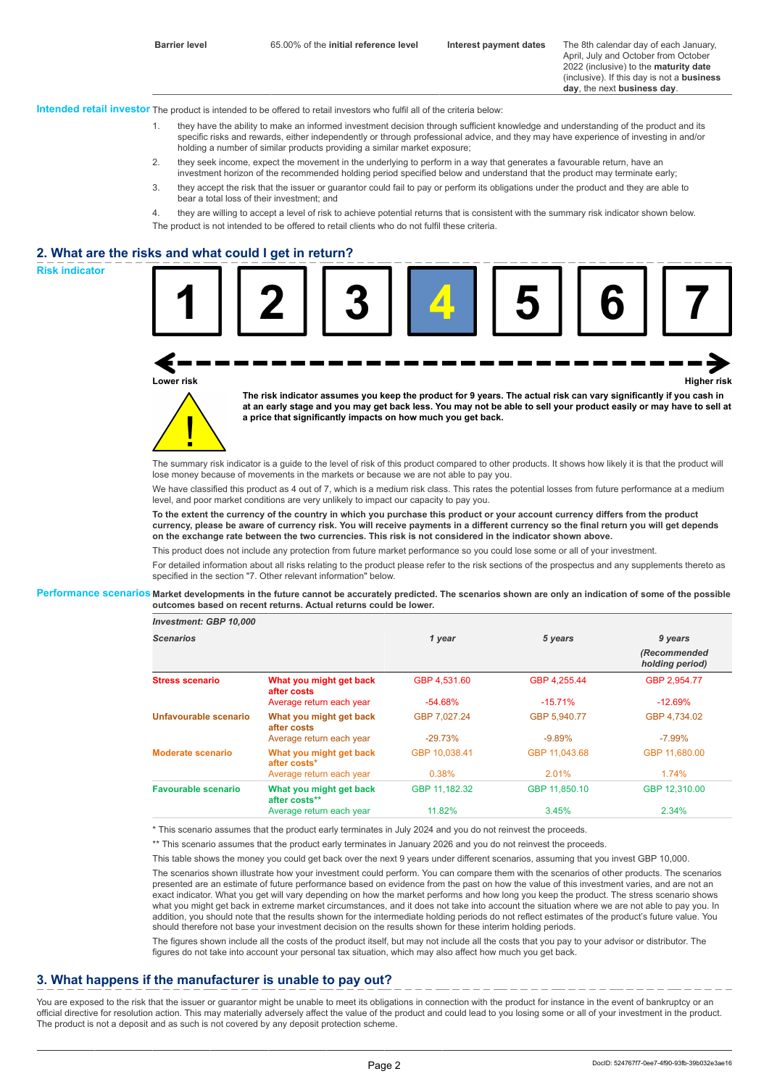April, July and October from October 2022 (inclusive) to the **maturity date** (inclusive). If this day is not a **business day**, the next **business day**.

**Intended retail investor** The product is intended to be offered to retail investors who fulfil all of the criteria below:

- 1. they have the ability to make an informed investment decision through sufficient knowledge and understanding of the product and its specific risks and rewards, either independently or through professional advice, and they may have experience of investing in and/or holding a number of similar products providing a similar market exposure;
- 2. they seek income, expect the movement in the underlying to perform in a way that generates a favourable return, have an investment horizon of the recommended holding period specified below and understand that the product may terminate early;
- 3. they accept the risk that the issuer or guarantor could fail to pay or perform its obligations under the product and they are able to bear a total loss of their investment; and
- 4. they are willing to accept a level of risk to achieve potential returns that is consistent with the summary risk indicator shown below. The product is not intended to be offered to retail clients who do not fulfil these criteria.

## **2. What are the risks and what could I get in return?**





**The risk indicator assumes you keep the product for 9 years. The actual risk can vary significantly if you cash in at an early stage and you may get back less. You may not be able to sell your product easily or may have to sell at a price that significantly impacts on how much you get back.**

The summary risk indicator is a quide to the level of risk of this product compared to other products. It shows how likely it is that the product will lose money because of movements in the markets or because we are not able to pay you.

We have classified this product as 4 out of 7, which is a medium risk class. This rates the potential losses from future performance at a medium level, and poor market conditions are very unlikely to impact our capacity to pay you.

**To the extent the currency of the country in which you purchase this product or your account currency differs from the product currency, please be aware of currency risk. You will receive payments in a different currency so the final return you will get depends on the exchange rate between the two currencies. This risk is not considered in the indicator shown above.**

This product does not include any protection from future market performance so you could lose some or all of your investment.

For detailed information about all risks relating to the product please refer to the risk sections of the prospectus and any supplements thereto as specified in the section "7. Other relevant information" below.

#### **Performance scenarios Market developments in the future cannot be accurately predicted. The scenarios shown are only an indication of some of the possible outcomes based on recent returns. Actual returns could be lower.**

| <b>Scenarios</b>       |                                          | 1 year        | 5 years       | 9 years                         |
|------------------------|------------------------------------------|---------------|---------------|---------------------------------|
|                        |                                          |               |               | (Recommended<br>holding period) |
| <b>Stress scenario</b> | What you might get back<br>after costs   | GBP 4.531.60  | GBP 4,255.44  | GBP 2,954.77                    |
|                        | Average return each year                 | $-54.68%$     | $-15.71%$     | $-12.69%$                       |
| Unfavourable scenario  | What you might get back<br>after costs   | GBP 7.027.24  | GBP 5,940.77  | GBP 4.734.02                    |
|                        | Average return each year                 | $-29.73%$     | $-9.89%$      | $-7.99\%$                       |
| Moderate scenario      | What you might get back<br>after costs*  | GBP 10.038.41 | GBP 11.043.68 | GBP 11,680.00                   |
|                        | Average return each year                 | 0.38%         | 2.01%         | 1.74%                           |
| Favourable scenario    | What you might get back<br>after costs** | GBP 11.182.32 | GBP 11,850.10 | GBP 12.310.00                   |
|                        | Average return each year                 | 11.82%        | 3.45%         | 2.34%                           |

\* This scenario assumes that the product early terminates in July 2024 and you do not reinvest the proceeds.

\*\* This scenario assumes that the product early terminates in January 2026 and you do not reinvest the proceeds.

This table shows the money you could get back over the next 9 years under different scenarios, assuming that you invest GBP 10,000.

The scenarios shown illustrate how your investment could perform. You can compare them with the scenarios of other products. The scenarios presented are an estimate of future performance based on evidence from the past on how the value of this investment varies, and are not an exact indicator. What you get will vary depending on how the market performs and how long you keep the product. The stress scenario shows what you might get back in extreme market circumstances, and it does not take into account the situation where we are not able to pay you. In addition, you should note that the results shown for the intermediate holding periods do not reflect estimates of the product's future value. You should therefore not base your investment decision on the results shown for these interim holding periods.

The figures shown include all the costs of the product itself, but may not include all the costs that you pay to your advisor or distributor. The figures do not take into account your personal tax situation, which may also affect how much you get back.

## **3. What happens if the manufacturer is unable to pay out?**

You are exposed to the risk that the issuer or quarantor might be unable to meet its obligations in connection with the product for instance in the event of bankruptcy or an official directive for resolution action. This may materially adversely affect the value of the product and could lead to you losing some or all of your investment in the product. The product is not a deposit and as such is not covered by any deposit protection scheme.